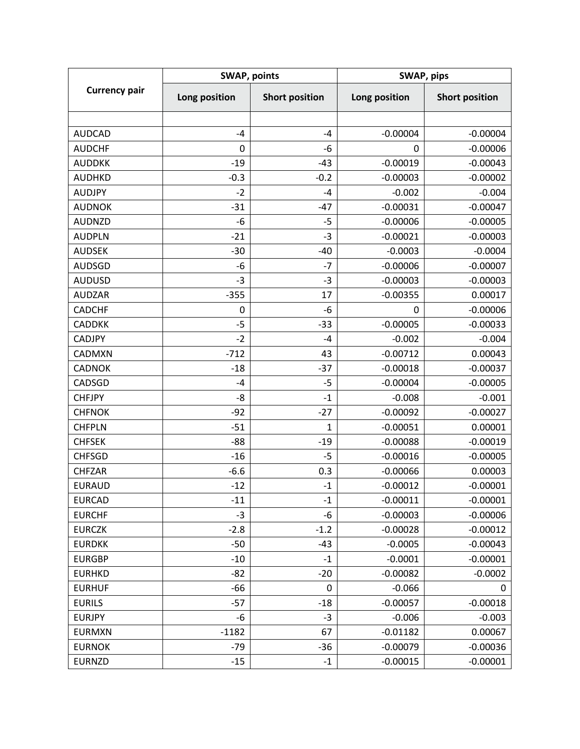| <b>Currency pair</b> | <b>SWAP, points</b> |                       | SWAP, pips    |                       |
|----------------------|---------------------|-----------------------|---------------|-----------------------|
|                      | Long position       | <b>Short position</b> | Long position | <b>Short position</b> |
|                      |                     |                       |               |                       |
| <b>AUDCAD</b>        | $-4$                | $-4$                  | $-0.00004$    | $-0.00004$            |
| <b>AUDCHF</b>        | 0                   | -6                    | 0             | $-0.00006$            |
| <b>AUDDKK</b>        | $-19$               | $-43$                 | $-0.00019$    | $-0.00043$            |
| <b>AUDHKD</b>        | $-0.3$              | $-0.2$                | $-0.00003$    | $-0.00002$            |
| <b>AUDJPY</b>        | $-2$                | $-4$                  | $-0.002$      | $-0.004$              |
| <b>AUDNOK</b>        | $-31$               | $-47$                 | $-0.00031$    | $-0.00047$            |
| <b>AUDNZD</b>        | -6                  | $-5$                  | $-0.00006$    | $-0.00005$            |
| <b>AUDPLN</b>        | $-21$               | $-3$                  | $-0.00021$    | $-0.00003$            |
| <b>AUDSEK</b>        | $-30$               | $-40$                 | $-0.0003$     | $-0.0004$             |
| <b>AUDSGD</b>        | -6                  | $-7$                  | $-0.00006$    | $-0.00007$            |
| <b>AUDUSD</b>        | $-3$                | $-3$                  | $-0.00003$    | $-0.00003$            |
| <b>AUDZAR</b>        | $-355$              | 17                    | $-0.00355$    | 0.00017               |
| <b>CADCHF</b>        | 0                   | $-6$                  | 0             | $-0.00006$            |
| <b>CADDKK</b>        | $-5$                | $-33$                 | $-0.00005$    | $-0.00033$            |
| <b>CADJPY</b>        | $-2$                | $-4$                  | $-0.002$      | $-0.004$              |
| <b>CADMXN</b>        | $-712$              | 43                    | $-0.00712$    | 0.00043               |
| <b>CADNOK</b>        | $-18$               | $-37$                 | $-0.00018$    | $-0.00037$            |
| CADSGD               | $-4$                | $-5$                  | $-0.00004$    | $-0.00005$            |
| <b>CHFJPY</b>        | -8                  | $-1$                  | $-0.008$      | $-0.001$              |
| <b>CHFNOK</b>        | $-92$               | $-27$                 | $-0.00092$    | $-0.00027$            |
| <b>CHFPLN</b>        | $-51$               | $\mathbf{1}$          | $-0.00051$    | 0.00001               |
| <b>CHFSEK</b>        | $-88$               | $-19$                 | $-0.00088$    | $-0.00019$            |
| <b>CHFSGD</b>        | $-16$               | $-5$                  | $-0.00016$    | $-0.00005$            |
| <b>CHFZAR</b>        | $-6.6$              | 0.3                   | $-0.00066$    | 0.00003               |
| <b>EURAUD</b>        | $-12$               | $-1$                  | $-0.00012$    | $-0.00001$            |
| <b>EURCAD</b>        | $-11$               | $-1$                  | $-0.00011$    | $-0.00001$            |
| <b>EURCHF</b>        | $-3$                | -6                    | $-0.00003$    | $-0.00006$            |
| <b>EURCZK</b>        | $-2.8$              | $-1.2$                | $-0.00028$    | $-0.00012$            |
| <b>EURDKK</b>        | -50                 | $-43$                 | $-0.0005$     | $-0.00043$            |
| <b>EURGBP</b>        | $-10$               | $-1$                  | $-0.0001$     | $-0.00001$            |
| <b>EURHKD</b>        | $-82$               | $-20$                 | $-0.00082$    | $-0.0002$             |
| <b>EURHUF</b>        | -66                 | 0                     | $-0.066$      | 0                     |
| <b>EURILS</b>        | $-57$               | $-18$                 | $-0.00057$    | $-0.00018$            |
| <b>EURJPY</b>        | -6                  | $-3$                  | $-0.006$      | $-0.003$              |
| <b>EURMXN</b>        | $-1182$             | 67                    | $-0.01182$    | 0.00067               |
| <b>EURNOK</b>        | $-79$               | $-36$                 | $-0.00079$    | $-0.00036$            |
| <b>EURNZD</b>        | $-15$               | $-1$                  | $-0.00015$    | $-0.00001$            |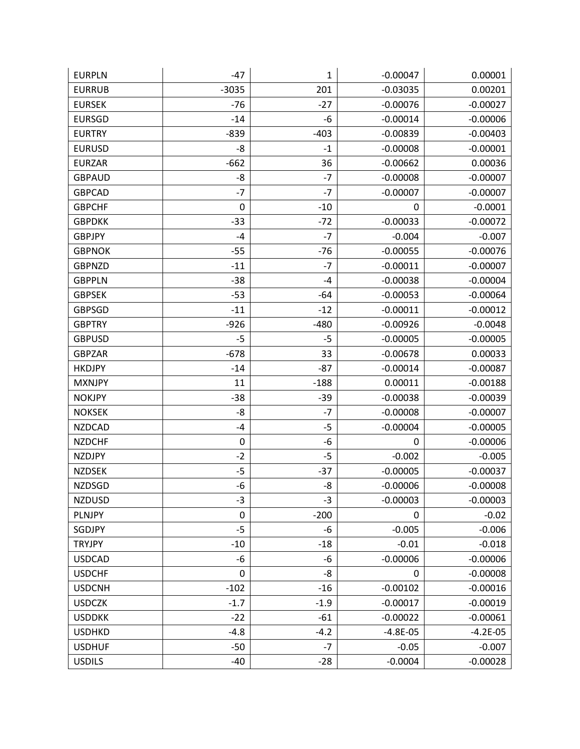| <b>EURPLN</b> | $-47$       | 1      | $-0.00047$  | 0.00001    |
|---------------|-------------|--------|-------------|------------|
| <b>EURRUB</b> | $-3035$     | 201    | $-0.03035$  | 0.00201    |
| <b>EURSEK</b> | $-76$       | $-27$  | $-0.00076$  | $-0.00027$ |
| <b>EURSGD</b> | $-14$       | -6     | $-0.00014$  | $-0.00006$ |
| <b>EURTRY</b> | $-839$      | $-403$ | $-0.00839$  | $-0.00403$ |
| <b>EURUSD</b> | -8          | $-1$   | $-0.00008$  | $-0.00001$ |
| <b>EURZAR</b> | $-662$      | 36     | $-0.00662$  | 0.00036    |
| <b>GBPAUD</b> | -8          | $-7$   | $-0.00008$  | $-0.00007$ |
| <b>GBPCAD</b> | $-7$        | $-7$   | $-0.00007$  | $-0.00007$ |
| <b>GBPCHF</b> | $\mathbf 0$ | $-10$  | $\mathbf 0$ | $-0.0001$  |
| <b>GBPDKK</b> | $-33$       | $-72$  | $-0.00033$  | $-0.00072$ |
| <b>GBPJPY</b> | $-4$        | $-7$   | $-0.004$    | $-0.007$   |
| <b>GBPNOK</b> | $-55$       | $-76$  | $-0.00055$  | $-0.00076$ |
| <b>GBPNZD</b> | $-11$       | $-7$   | $-0.00011$  | $-0.00007$ |
| <b>GBPPLN</b> | $-38$       | $-4$   | $-0.00038$  | $-0.00004$ |
| <b>GBPSEK</b> | $-53$       | $-64$  | $-0.00053$  | $-0.00064$ |
| <b>GBPSGD</b> | $-11$       | $-12$  | $-0.00011$  | $-0.00012$ |
| <b>GBPTRY</b> | $-926$      | $-480$ | $-0.00926$  | $-0.0048$  |
| <b>GBPUSD</b> | $-5$        | -5     | $-0.00005$  | $-0.00005$ |
| <b>GBPZAR</b> | $-678$      | 33     | $-0.00678$  | 0.00033    |
| <b>HKDJPY</b> | $-14$       | $-87$  | $-0.00014$  | $-0.00087$ |
| <b>MXNJPY</b> | 11          | $-188$ | 0.00011     | $-0.00188$ |
| <b>NOKJPY</b> | $-38$       | $-39$  | $-0.00038$  | $-0.00039$ |
| <b>NOKSEK</b> | -8          | $-7$   | $-0.00008$  | $-0.00007$ |
| <b>NZDCAD</b> | $-4$        | $-5$   | $-0.00004$  | $-0.00005$ |
| <b>NZDCHF</b> | $\pmb{0}$   | -6     | $\pmb{0}$   | $-0.00006$ |
| <b>NZDJPY</b> | $-2$        | $-5$   | $-0.002$    | $-0.005$   |
| <b>NZDSEK</b> | $-5$        | $-37$  | $-0.00005$  | $-0.00037$ |
| <b>NZDSGD</b> | -6          | -8     | $-0.00006$  | $-0.00008$ |
| <b>NZDUSD</b> | $-3$        | $-3$   | $-0.00003$  | $-0.00003$ |
| PLNJPY        | $\pmb{0}$   | $-200$ | $\mathbf 0$ | $-0.02$    |
| SGDJPY        | $-5$        | $-6$   | $-0.005$    | $-0.006$   |
| <b>TRYJPY</b> | $-10$       | $-18$  | $-0.01$     | $-0.018$   |
| <b>USDCAD</b> | -6          | -6     | $-0.00006$  | $-0.00006$ |
| <b>USDCHF</b> | 0           | -8     | $\mathbf 0$ | $-0.00008$ |
| <b>USDCNH</b> | $-102$      | $-16$  | $-0.00102$  | $-0.00016$ |
| <b>USDCZK</b> | $-1.7$      | $-1.9$ | $-0.00017$  | $-0.00019$ |
| <b>USDDKK</b> | $-22$       | $-61$  | $-0.00022$  | $-0.00061$ |
| <b>USDHKD</b> | $-4.8$      | $-4.2$ | $-4.8E-05$  | $-4.2E-05$ |
| <b>USDHUF</b> | $-50$       | $-7$   | $-0.05$     | $-0.007$   |
| <b>USDILS</b> | $-40$       | $-28$  | $-0.0004$   | $-0.00028$ |